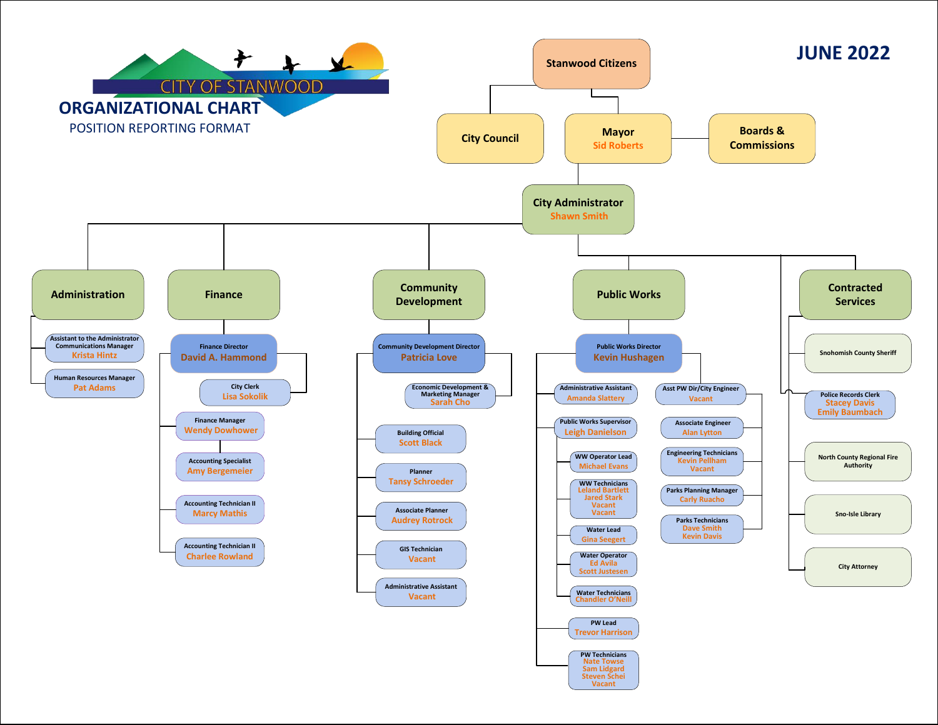